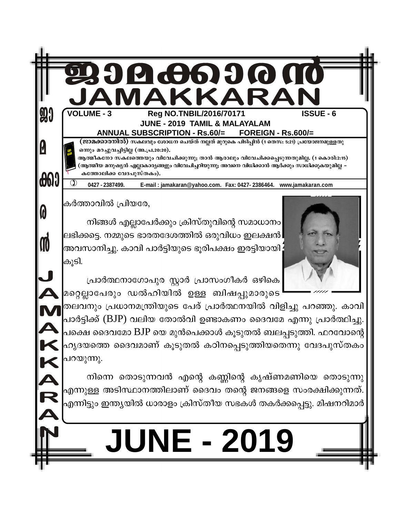

# NE - 2019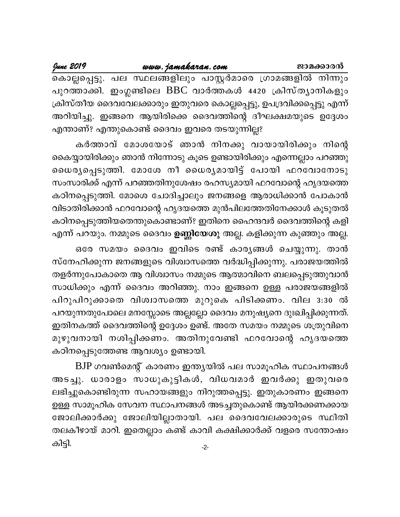www.jamakaran.com

June 2019

കൊല്ലപ്പെട്ടു. പല സ്ഥലങ്ങളിലും പാസ്റ്റർമാരെ ഗ്രാമങ്ങളിൽ നിന്നും പുറത്താക്കി. ഇംഗ്ലണ്ടിലെ BBC വാർത്തകൾ 4420 ക്രിസ്ത്യാനികളും ക്രിസ്തീയ ദൈവവേലക്കാരും ഇതുവരെ കൊല്ലപ്പെട്ടു, ഉപദ്രവിക്കപ്പെട്ടു എന്ന് അറിയിച്ചു. ഇങ്ങനെ ആയിരിക്കെ ദൈവത്തിന്റെ ദീഘക്ഷമയുടെ ഉദ്ദേശം എന്താണ്? എന്തുകൊണ്ട് ദൈവം ഇവരെ തടയുന്നില്ല?

കർത്താവ് മോശയോട് ഞാൻ നിനക്കു വായായിരിക്കും നിന്റെ കൈയ്യായിരിക്കും ഞാൻ നിന്നോടു കൂടെ ഉണ്ടായിരിക്കും എന്നെല്ലാം പറഞ്ഞു ധൈര്യപ്പെടുത്തി. മോശേ നീ ധൈര്യമായിട്ട് പോയി ഫറവോനോടു സംസാരിക്ക് എന്ന് പറഞ്ഞതിനുശേഷം രഹസ്യമായി ഫറവോന്റെ ഹൃദയത്തെ കഠിനപ്പെടുത്തി. മോശെ ചോദിച്ചാലും ജനങ്ങളെ ആരാധിക്കാൻ പോകാൻ വിടാതിരിക്കാൻ ഫറവോന്റെ ഹൃദയത്തെ മുൻപിലത്തേതിനേക്കാൾ കൂടുതൽ കഠിനപ്പെടുത്തിയതെന്തുകൊണ്ടാണ്? ഇതിനെ ഹൈന്ദവർ ദൈവത്തിന്റെ കളി എന്ന് പറയും. നമ്മുടെ ദൈവം **ഉണ്ണിയേശു** അല്ല. കളിക്കുന്ന കുഞ്ഞും അല്ല.

ഒരേ സമയം ദൈവം ഇവിടെ രണ്ട് കാരൃങ്ങൾ ചെയ്യുന്നു. താൻ സ്നേഹിക്കുന്ന ജനങ്ങളുടെ വിശ്വാസത്തെ വർദ്ധിപ്പിക്കുന്നു. പരാജയത്തിൽ തളർന്നുപോകാതെ ആ വിശ്വാസം നമ്മുടെ ആത്മാവിനെ ബലപ്പെടുത്തുവാൻ സാധിക്കും എന്ന് ദൈവം അറിഞ്ഞു. നാം ഇങ്ങനെ ഉള്ള പരാജയങ്ങളിൽ പിറുപിറുക്കാതെ വിശ്വാസത്തെ മുറുകെ പിടിക്കണം. വില 3:30 ൽ പറയുന്നതുപോലെ മനസ്സോടെ അല്ലല്ലോ ദൈവം മനുഷ്യനെ ദുഃഖിപ്പിക്കുന്നത്. ഇതിനകത്ത് ദൈവത്തിന്റെ ഉദ്ദേശം ഉണ്ട്. അതേ സമയം നമ്മുടെ ശത്രുവിനെ മുഴുവനായി നശിപ്പിക്കണം. അതിനുവേണ്ടി ഫറവോന്റെ ഹൃദയത്തെ കഠിനപ്പെടുത്തേണ്ട ആവശ്യം ഉണ്ടായി.

BJP ഗവൺമെന്റ് കാരണം ഇന്ത്യയിൽ പല സാമൂഹിക സ്ഥാപനങ്ങൾ അടച്ചു. ധാരാളം സാധുകുട്ടികൾ, വിധവമാർ ഇവർക്കു ഇതുവരെ ലഭിച്ചുകൊണ്ടിരുന്ന സഹായങ്ങളും നിറുത്തപ്പെട്ടു. ഇതുകാരണം ഇങ്ങനെ ഉള്ള സാമൂഹിക സേവന സ്ഥാപനങ്ങൾ അടച്ചതുകൊണ്ട് ആയിരക്കണക്കായ ജോലിക്കാർക്കു ജോലിയില്ലാതായി. പല ദൈവവേലക്കാരുടെ സ്ഥിതി തലകീഴായ് മാറി. ഇതെല്ലാം കണ്ട് കാവി കക്ഷിക്കാർക്ക് വളരെ സന്തോഷം കിട്ടി.  $-2-$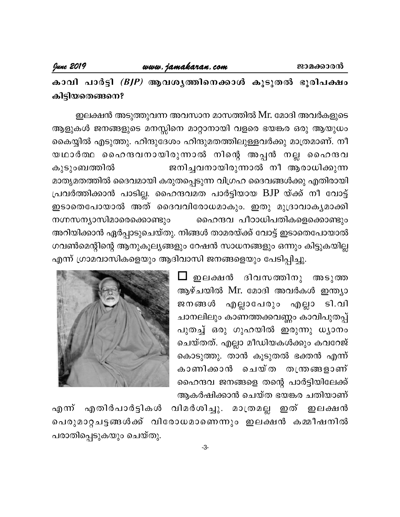കാവി പാർട്ടി *(BJP)* ആവശൃത്തിനെക്കാൾ കൂടുതൽ ഭൂരിപക്ഷം കിട്ടിയതെങ്ങനെ?

ഇലക്ഷൻ അടുത്തുവന്ന അവസാന മാസത്തിൽ Mr. മോദി അവർകളുടെ ആളുകൾ ജനങ്ങളുടെ മനസ്സിനെ മാറ്റാനായി വളരെ ഭയങ്കര ഒരു ആയുധം കൈയ്യിൽ എടുത്തു. ഹിന്ദുദേശം ഹിന്ദുമതത്തിലുള്ളവർക്കു മാത്രമാണ്. നീ യഥാർത്ഥ ഹൈന്ദവനായിരുന്നാൽ നിന്റെ അപ്പൻ നല്ല ഹൈന്ദവ കുടുംബത്തിൽ ജനിച്ചവനായിരുന്നാൽ നീ ആരാധിക്കുന്ന മാതൃമതത്തിൽ ദൈവമായി കരുതപ്പെടുന്ന വിഗ്രഹ ദൈവങ്ങൾക്കു എതിരായി പ്രവർത്തിക്കാൻ പാടില്ല. ഹൈന്ദവമത പാർട്ടിയായ BJP യ്ക്ക് നീ വോട്ട് ഇടാതെപോയാൽ അത് ദൈവവിരോധമാകും. ഇതു മുദ്രാവാകൃമാക്കി നഗ്നസന്യാസിമാരെക്കൊണ്ടും ഹൈന്ദവ പീഠാധിപതികളെക്കൊണ്ടും അറിയിക്കാൻ ഏർപ്പാടുചെയ്തു. നിങ്ങൾ താമരയ്ക്ക് വോട്ട് ഇടാതെപോയാൽ ഗവൺമെന്റിന്റെ ആനുകൂല്യങ്ങളും റേഷൻ സാധനങ്ങളും ഒന്നും കിട്ടുകയില്ല എന്ന് ഗ്രാമവാസികളെയും ആദിവാസി ജനങ്ങളെയും പേടിപ്പിച്ചു.

> ⊿ ഇലക്ഷൻ ദിവസത്തിനു അടുത്ത ആഴ്ചയിൽ Mr. മോദി അവർകൾ ഇന്ത്യാ ജനങ്ങൾ എല്ലാപേരും എല്ലാ ടി.വി ചാനലിലും കാണത്തക്കവണ്ണം കാവിപുതപ്പ് പുതച്ച് ഒരു ഗുഹയിൽ ഇരുന്നു ധ്യാനം ചെയ്തത്. എല്ലാ മീഡിയകൾക്കും കവറേജ് കൊടുത്തു. താൻ കൂടുതൽ ഭക്തൻ എന്ന് കാണിക്കാൻ ചെയ്ത തന്ത്രങ്ങളാണ് ഹൈന്ദവ ജനങ്ങളെ തന്റെ പാർട്ടിയിലേക്ക് ആകർഷിക്കാൻ ചെയ്ത ഭയങ്കര ചതിയാണ്



എന് എതിർപാർട്ടികൾ വിമർശിച്ചു. മാത്രമല്ല ഇത് ഇലക്ഷൻ പെരുമാറ്റചട്ടങ്ങൾക്ക് വിരോധമാണെന്നും ഇലക്ഷൻ കമ്മീഷനിൽ പരാതിപ്പെടുകയും ചെയ്തു.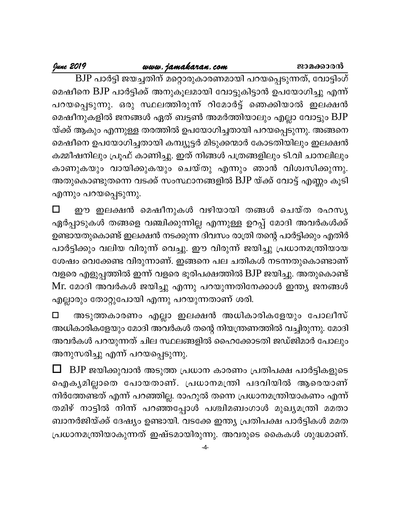June 2019

<mark>ശശ *www. jamakaran. com* ജാമക്കാരൻ</mark><br>BJP പാർട്ടി ജയച്ചതിന് മറ്റൊരുകാരണമായി പറയപ്പെടുന്നത്, വോട്ടിംഗ് മെഷീനെ BJP പാർട്ടിക്ക് അനുകൂലമായി വോട്ടുകിട്ടാൻ ഉപയോഗിച്ചു എന്ന് പറയപ്പെടുന്നു. ഒരു സ്ഥലത്തിരുന്ന് റിമോർട്ട് ഞെക്കിയാൽ ഇലക്ഷൻ മെഷീനുകളിൽ ജനങ്ങൾ ഏത് ബട്ടൺ അമർത്തിയാലും എല്ലാ വോട്ടും BJP യ്ക്ക് ആകും എന്നുള്ള തരത്തിൽ ഉപയോഗിച്ചതായി പറയപ്പെടുന്നു. അങ്ങനെ മെഷീനെ ഉപയോഗിച്ചതായി കമ്പ്യൂട്ടർ മിടുക്കന്മാർ കോടതിയിലും ഇലക്ഷൻ കമ്മീഷനിലും പ്രൂഫ് കാണിച്ചു. ഇത് നിങ്ങൾ പത്രങ്ങളിലും ടി.വി ചാനലിലും കാണുകയും വായിക്കുകയും ചെയ്തു എന്നും ഞാൻ വിശ്വസിക്കുന്നു. അതുകൊണ്ടുതന്നെ വടക്ക് സംസ്ഥാനങ്ങളിൽ BJP യ്ക്ക് വോട്ട് എണ്ണം കൂടി എന്നും പറയപ്പെടുന്നു.

 $\Box$ ഈ ഇലക്ഷൻ മെഷീനുകൾ വഴിയായി തങ്ങൾ ചെയ്ത രഹസൃ ഏർപ്പാടുകൾ തങ്ങളെ വഞ്ചിക്കുന്നില്ല എന്നുള്ള ഉറപ്പ് മോദി അവർകൾക്ക് ഉണ്ടായതുകൊണ്ട് ഇലക്ഷൻ നടക്കുന്ന ദിവസം രാത്രി തന്റെ പാർട്ടിക്കും എതിർ പാർട്ടിക്കും വലിയ വിരുന്ന് വെച്ചു. ഈ വിരുന്ന് ജയിച്ചു പ്രധാനമന്ത്രിയായ ശേഷം വെക്കേണ്ട വിരുന്നാണ്. ഇങ്ങനെ പല ചതികൾ നടന്നതുകൊണ്ടാണ് വളരെ എളുപ്പത്തിൽ ഇന്ന് വളരെ ഭൂരിപക്ഷത്തിൽ BJP ജയിച്ചു. അതുകൊണ്ട് Mr. മോദി അവർകൾ ജയിച്ചു എന്നു പറയുന്നതിനേക്കാൾ ഇന്ത്യ ജനങ്ങൾ എല്ലാരും തോറ്റുപോയി എന്നു പറയുന്നതാണ് ശരി.

അടുത്തകാരണം എല്ലാ ഇലക്ഷൻ അധികാരികളേയും പോലീസ്  $\Box$ അധികാരികളേയും മോദി അവർകൾ തന്റെ നിയന്ത്രണത്തിൽ വച്ചിരുന്നു. മോദി അവർകൾ പറയുന്നത് ചില സ്ഥലങ്ങളിൽ ഹൈക്കോടതി ജഡ്ജിമാർ പോലും അനുസരിച്ചു എന്ന് പറയപ്പെടുന്നു.

BJP ജയിക്കുവാൻ അടുത്ത പ്രധാന കാരണം പ്രതിപക്ഷ പാർട്ടികളുടെ ഐകൃമില്ലാതെ പോയതാണ്. പ്രധാനമന്ത്രി പദവിയിൽ ആരെയാണ് നിർത്തേണ്ടത് എന്ന് പറഞ്ഞില്ല. രാഹുൽ തന്നെ പ്രധാനമന്ത്രിയാകണം എന്ന് തമിഴ് നാട്ടിൽ നിന്ന് പറഞ്ഞപ്പോൾ പശ്ചിമബംഗാൾ മുഖ്യമന്ത്രി മമതാ ബാനർജിയ്ക്ക് ദേഷ്യം ഉണ്ടായി. വടക്കേ ഇന്ത്യ പ്രതിപക്ഷ പാർട്ടികൾ മമത പ്രധാനമന്ത്രിയാകുന്നത് ഇഷ്ടമായിരുന്നു. അവരുടെ കൈകൾ ശുദ്ധമാണ്.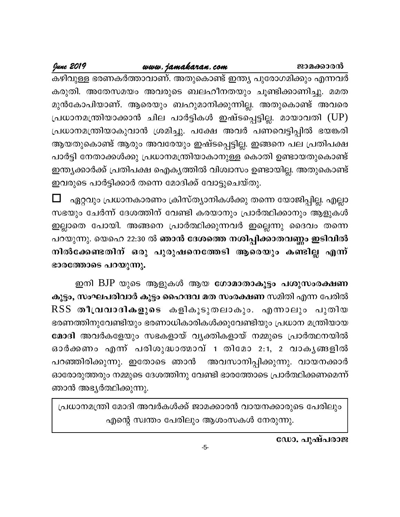ജാമക്കാരൻ

June 2019

www.jamakaran.com

കഴിവുള്ള ഭരണകർത്താവാണ്. അതുകൊണ്ട് ഇന്ത്യ പുരോഗമിക്കും എന്നവർ കരുതി. അതേസമയം അവരുടെ ബലഹീനതയും ചൂണ്ടിക്കാണിച്ചു. മമത മുൻകോപിയാണ്. ആരെയും ബഹുമാനിക്കുന്നില്ല. അതുകൊണ്ട് അവരെ പ്രധാനമന്ത്രിയാക്കാൻ ചില പാർട്ടികൾ ഇഷ്ടപ്പെട്ടില്ല. മായാവതി (UP) പ്രധാനമന്ത്രിയാകുവാൻ ശ്രമിച്ചു. പക്ഷേ അവർ പണവെട്ടിപ്പിൽ ഭയങ്കരി ആയതുകൊണ്ട് ആരും അവരേയും ഇഷ്ടപ്പെട്ടില്ല. ഇങ്ങനെ പല പ്രതിപക്ഷ പാർട്ടി നേതാക്കൾക്കു പ്രധാനമന്ത്രിയാകാനുള്ള കൊതി ഉണ്ടായതുകൊണ്ട് ഇന്ത്യക്കാർക്ക് പ്രതിപക്ഷ ഐകൃത്തിൽ വിശ്വാസം ഉണ്ടായില്ല. അതുകൊണ്ട് ഇവരുടെ പാർട്ടിക്കാർ തന്നെ മോദിക്ക് വോട്ടുചെയ്തു.

ഏറ്റവും പ്രധാനകാരണം ക്രിസ്ത്യാനികൾക്കു തന്നെ യോജിപ്പില്ല. എല്ലാ സഭയും ചേർന്ന് ദേശത്തിന് വേണ്ടി കരയാനും പ്രാർത്ഥിക്കാനും ആളുകൾ ഇല്ലാതെ പോയി. അങ്ങനെ പ്രാർത്ഥിക്കുന്നവർ ഇല്ലെന്നു ദൈവം തന്നെ പറയുന്നു. യെഹെ 22:30 ൽ <mark>ഞാൻ ദേശത്തെ നശിപ്പിക്കാതവണ്ണം ഇടിവിൽ</mark> നിൽക്കേണ്ടതിന് ഒരു പുരുഷനെത്തേടി ആരെയും കണ്ടില്ല എന്ന് ഭാരത്തോടെ പറയുന്നു.

ഇനി BJP യുടെ ആളുകൾ ആയ **ഗോമാതാകൂട്ടം പശുസംരക്ഷണ** കൂട്ടം, സംഘപരിവാർ കൂട്ടം ഹൈന്ദവ മത സംരക്ഷണ സമിതി എന്ന പേരിൽ RSS തീവ്രവാദികളുടെ കളികൂടുതലാകും. എന്നാലും പുതിയ ഭരണത്തിനുവേണ്ടിയും ഭരണാധികാരികൾക്കുവേണ്ടിയും പ്രധാന മന്ത്രിയായ മോദി അവർകളേയും സഭകളായ് വൃക്തികളായ് നമ്മുടെ പ്രാർത്ഥനയിൽ ഓർക്കണം എന്ന് പരിശുദ്ധാത്മാവ് 1 തിമോ 2:1, 2 വാകൃങ്ങളിൽ പറഞ്ഞിരിക്കുന്നു. ഇതോടെ ഞാൻ അവസാനിപ്പിക്കുന്നു. വായനക്കാർ ഓരോരുത്തരും നമ്മുടെ ദേശത്തിനു വേണ്ടി ഭാരത്തോടെ പ്രാർത്ഥിക്കണമെന്ന് ഞാൻ അഭ്യർത്ഥിക്കുന്നു.

പ്രധാനമന്ത്രി മോദി അവർകൾക്ക് ജാമക്കാരൻ വായനക്കാരുടെ പേരിലും എന്റെ സ്വന്തം പേരിലും ആശംസകൾ നേരുന്നു.

ഡോ. പുഷ്പരാജ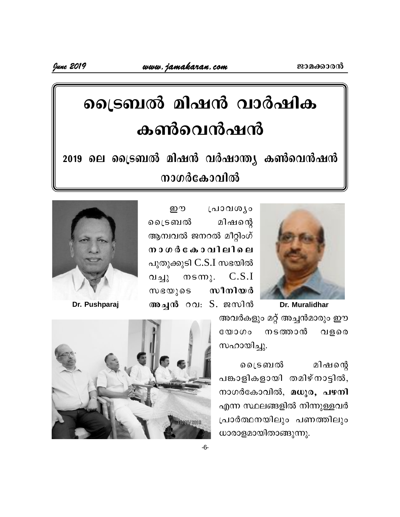# ട്രൈബൽ മിഷൻ വാർഷിക കൺവെൻഷൻ

2019 ലെ ട്രൈബൽ മിഷൻ വർഷാന്ത്യ കൺവെൻഷൻ നാഗർകോവിൽ



றை പ്രാവശ്യം ലൈടബൽ മിഷന്റെ ആമ്പവൽ ജനറൽ മീറ്റിംഗ് നാഗർകോവിലിലെ പുതുക്കുടി C.S.I സഭയിൽ  $msm$ ). വച്ചു  $C.S.I$  $\omega$ ഭ $\omega$ ) อร സീനിയർ അച്ചൻ റവ: S. ജസിൻ



Dr. Pushparaj

അവർകളും മറ്റ് അച്ചൻമാരും ഈ നടത്താൻ  $C_0(0)$ വളരെ സഹായിച്ചു.

മിഷന്റെ ലൈടബൽ പങ്കാളികളായി തമിഴ്നാട്ടിൽ, നാഗർകോവിൽ, മധുര, പഴനി എന്ന സ്ഥലങ്ങളിൽ നിന്നുള്ളവർ പ്രാർത്ഥനയിലും പണത്തിലും ധാരാളമായിതാങ്ങുന്നു.

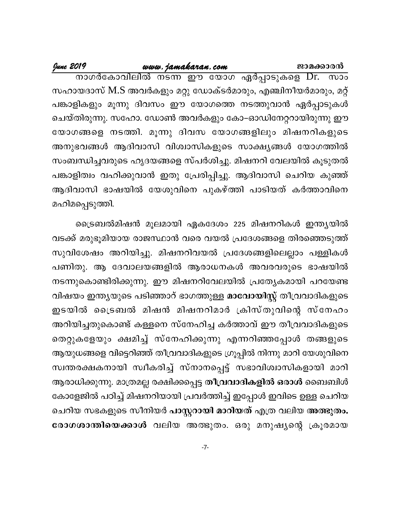ജാമക്കാരൻ

 $\overline{w}$ സഹായദാസ് M.S അവർകളും മറ്റു ഡോക്ടർമാരും, എഞ്ചിനീയർമാരും, മറ്റ് പങ്കാളികളും മൂന്നു ദിവസം ഈ യോഗത്തെ നടത്തുവാൻ ഏർപ്പാടുകൾ ചെയ്തിരുന്നു. സഹോ. ഡോൺ അവർകളും കോ–ഓഡിനേറ്ററായിരുന്നു ഈ യോഗങ്ങളെ നടത്തി. മൂന്നു ദിവസ യോഗങ്ങളിലും മിഷനറികളുടെ അനുഭവങ്ങൾ ആദിവാസി വിശ്വാസികളുടെ സാക്ഷ്യങ്ങൾ യോഗത്തിൽ സംബന്ധിച്ചവരുടെ ഹൃദയങ്ങളെ സ്പർശിച്ചു. മിഷനറി വേലയിൽ കൂടുതൽ പങ്കാളിത്വം വഹിക്കുവാൻ ഇതു പ്രേരിപ്പിച്ചു. ആദിവാസി ചെറിയ കുഞ്ഞ് ആദിവാസി ഭാഷയിൽ യേശുവിനെ പുകഴ്ത്തി പാടിയത് കർത്താവിനെ മഹിമപ്പെടുത്തി.

ട്രൈബൽമിഷൻ മൂലമായി ഏകദേശം 225 മിഷനറികൾ ഇന്ത്യയിൽ വടക്ക് മരുഭൂമിയായ രാജസ്ഥാൻ വരെ വയൽ പ്രദേശങ്ങളെ തിരഞ്ഞെടുത്ത് സുവിശേഷം അറിയിച്ചു. മിഷനറിവയൽ പ്രദേശങ്ങളിലെല്ലാം പള്ളികൾ പണിതു. ആ ദേവാലയങ്ങളിൽ ആരാധനകൾ അവരവരുടെ ഭാഷയിൽ നടന്നുകൊണ്ടിരിക്കുന്നു. ഈ മിഷനറിവേലയിൽ പ്രത്യേകമായി പറയേണ്ട വിഷയം ഇന്ത്യയുടെ പടിഞ്ഞാറ് ഭാഗത്തുള്ള <mark>മാവോയിസ്റ്റ്</mark> തീവ്രവാദികളുടെ ഇടയിൽ ട്രൈബൽ മിഷൻ മിഷനറിമാർ ക്രിസ്തുവിന്റെ സ്നേഹം അറിയിച്ചതുകൊണ്ട് കള്ളനെ സ്നേഹിച്ച കർത്താവ് ഈ തീവ്രവാദികളുടെ തെറ്റുകളേയും ക്ഷമിച്ച് സ്നേഹിക്കുന്നു എന്നറിഞ്ഞപ്പോൾ തങ്ങളുടെ ആയുധങ്ങളെ വിട്ടെറിഞ്ഞ് തീവ്രവാദികളുടെ ഗ്രൂപ്പിൽ നിന്നു മാറി യേശുവിനെ സ്വന്തരക്ഷകനായി സ്ഥീകരിച്ച് സ്നാനപ്പെട്ട് സഭാവിശ്വാസികളായി മാറി ആരാധിക്കുന്നു. മാത്രമല്ല രക്ഷിക്കപ്പെട്ട <mark>തീവ്രവാദികളിൽ ഒരാൾ</mark> ബൈബിൾ കോളേജിൽ പഠിച്ച് മിഷനറിയായി പ്രവർത്തിച്ച് ഇപ്പോൾ ഇവിടെ ഉള്ള ചെറിയ ചെറിയ സഭകളുടെ സീനിയർ <mark>പാസ്റ്ററായി മാറിയത്</mark> എത്ര വലിയ അത്ഭുതം. രോഗശാന്തിയെക്കാൾ വലിയ അത്ഭുതം. ഒരു മനുഷ്യന്റെ ക്രൂരമായ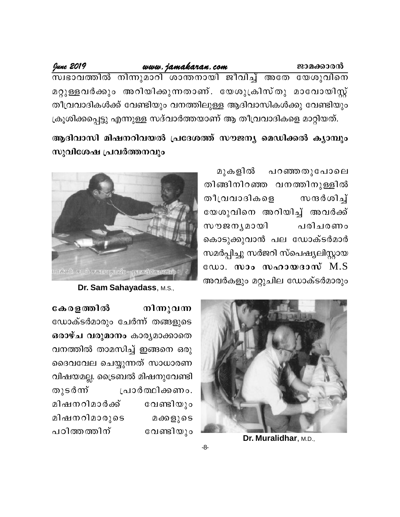### ജാമക്കാരൻ

# www.jamakaran.com

June 2019

.<br>സ്വഭാവത്തിൽ നിന്നുമാറി ശാന്തനായി ജീവിച്ച് അതേ യേശുവിനെ മറ്റുള്ളവർക്കും അറിയിക്കുന്നതാണ്. യേശുക്രിസ്തു മാവോയിസ്റ്റ് തീവ്രവാദികൾക്ക് വേണ്ടിയും വനത്തിലുള്ള ആദിവാസികൾക്കു വേണ്ടിയും ക്രുശിക്കപ്പെട്ടു എന്നുള്ള സദ്വാർത്തയാണ് ആ തീവ്രവാദികളെ മാറ്റിയത്.

# ആദിവാസി മിഷനറിവയൽ പ്രദേശത്ത് സൗജന്യ മെഡിക്കൽ ക്യാമ്പും സുവിശേഷ പ്രവർത്തനവും

മുകളിൽ പറഞ്ഞതുപോലെ തിങ്ങിനിറഞ്ഞ വനത്തിനുള്ളിൽ തീവ്രവാദികളെ സന്ദർശിച് യേശുവിനെ അറിയിച്ച് അവർക്ക് സൗജനൃമായി പരിചരണം കൊടുക്കുവാൻ പല ഡോക്ടർമാർ സമർപ്പിച്ചു സർജറി സ്പെഷ്യലിസ്റ്റായ ഡോ. സാം സഹായദാസ് M.S അവർകളും മറ്റുചില ഡോക്ടർമാരും



Dr. Sam Sahayadass, M.S.,



Dr. Muralidhar, M.D.,

കേരളത്തിൽ നിന്നുവന്ന ഡോക്ടർമാരും ചേർന്ന് തങ്ങളുടെ ഒരാഴ്ച വരുമാനം കാര്യമാക്കാതെ വനത്തിൽ താമസിച്ച് ഇങ്ങനെ ഒരു ദൈവവേല ചെയ്യുന്നത് സാധാരണ വിഷയമല്ല. ട്രൈബൽ മിഷനുവേണ്ടി തുടർന്ന് പ്രാർത്ഥിക്കണം. മിഷനറിമാർക്ക് വേണ്ടിയും മിഷനറിമാരുടെ മക്കളുടെ പഠിത്തത്തിന് വേണ്ടിയും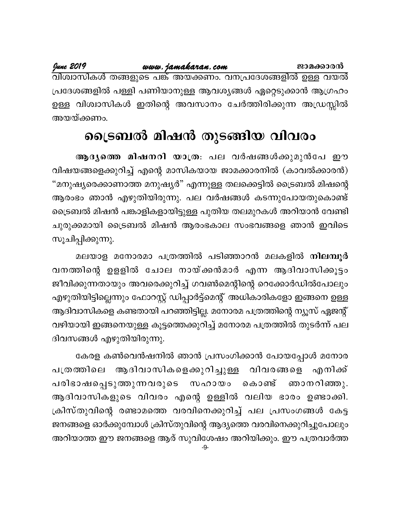June 2019

الله 201*9 www.jamakaran.com*<br>വിശ്വാസികൾ തങ്ങളുടെ പങ്ക് അയക്കണം. വനപ്രദേശങ്ങളിൽ ഉള്ള വയൽ പ്രദേശങ്ങളിൽ പള്ളി പണിയാനുള്ള ആവശ്യങ്ങൾ ഏറ്റെടുക്കാൻ ആഗ്രഹം ഉള്ള വിശ്വാസികൾ ഇതിന്റെ അവസാനം ചേർത്തിരിക്കുന്ന അഡ്രസ്സിൽ അയയ്ക്കണം.

# ട്രൈബൽ മിഷൻ തുടങ്ങിയ വിവരം

ആദൃത്തെ മിഷനറി യാത്ര: പല വർഷങ്ങൾക്കുമുൻപേ ഈ വിഷയങ്ങളെക്കുറിച്ച് എന്റെ മാസികയായ ജാമക്കാരനിൽ (കാവൽക്കാരൻ) "മനുഷ്യരെക്കാണാത്ത മനുഷ്യർ" എന്നുള്ള തലക്കെട്ടിൽ ട്രൈബൽ മിഷന്റെ ആരംഭം ഞാൻ എഴുതിയിരുന്നു. പല വർഷങ്ങൾ കടന്നുപോയതുകൊണ്ട് ട്രൈബൽ മിഷൻ പങ്കാളികളായിട്ടുള്ള പുതിയ തലമുറകൾ അറിയാൻ വേണ്ടി ചുരുക്കമായി ട്രൈബൽ മിഷൻ ആരംഭകാല സംഭവങ്ങളെ ഞാൻ ഇവിടെ സൂചിപ്പിക്കുന്നു.

മലയാള മനോരമാ പത്രത്തിൽ പടിഞ്ഞാറൻ മലകളിൽ നിലമ്പൂർ വനത്തിന്റെ ഉളളിൽ ചോല നായ്ക്കൻമാർ എന്ന ആദിവാസിക്കൂട്ടം ജീവിക്കുന്നതായും അവരെക്കുറിച്ച് ഗവൺമെന്റിന്റെ റെക്കോർഡിൽപോലും എഴുതിയിട്ടില്ലെന്നും ഫോറസ്റ്റ് ഡിപ്പാർട്ട്മെന്റ് അധികാരികളോ ഇങ്ങനെ ഉള്ള ആദിവാസികളെ കണ്ടതായി പറഞ്ഞിട്ടില്ല. മനോരമ പത്രത്തിന്റെ ന്യൂസ് ഏജന്റ് വഴിയായി ഇങ്ങനെയുള്ള കൂട്ടത്തെക്കുറിച്ച് മനോരമ പത്രത്തിൽ തുടർന്ന് പല ദിവസങ്ങൾ എഴുതിയിരുന്നു.

കേരള കൺവെൻഷനിൽ ഞാൻ പ്രസംഗിക്കാൻ പോയപ്പോൾ മനോര ആദിവാസികളെക്കുറിച്ചുള്ള വിവരങ്ങളെ എനിക്ക് പത്രത്തിലെ പരിഭാഷപ്പെടുത്തുന്നവരുടെ സഹായം കൊണ്ട് ഞാനറിഞ്ഞു. ആദിവാസികളുടെ വിവരം എന്റെ ഉള്ളിൽ വലിയ ഭാരം ഉണ്ടാക്കി. ക്രിസ്തുവിന്റെ രണ്ടാമത്തെ വരവിനെക്കുറിച്ച് പല പ്രസംഗങ്ങൾ കേട്ട ജനങ്ങളെ ഓർക്കുമ്പോൾ ക്രിസ്തുവിന്റെ ആദ്യത്തെ വരവിനെക്കുറിച്ചുപോലും അറിയാത്ത ഈ ജനങ്ങളെ ആര് സുവിശേഷം അറിയിക്കും. ഈ പത്രവാർത്ത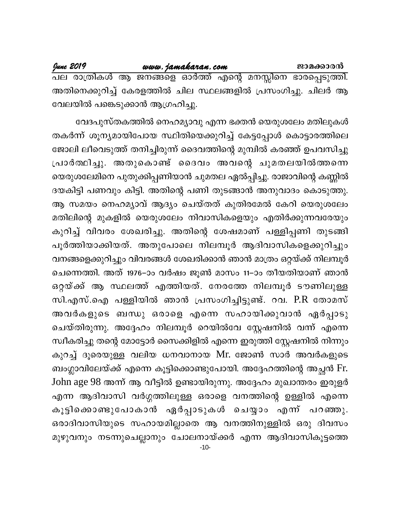അതിനെക്കുറിച്ച് കേരളത്തിൽ ചില സ്ഥലങ്ങളിൽ പ്രസംഗിച്ചു. ചിലർ ആ വേലയിൽ പങ്കെടുക്കാൻ ആഗ്രഹിച്ചു.

വേദപുസ്തകത്തിൽ നെഹമ്യാവു എന്ന ഭക്തൻ യെരുശലേം മതിലുകൾ തകർന്ന് ശൂന്യമായിപോയ സ്ഥിതിയെക്കുറിച്ച് കേട്ടപ്പോൾ കൊട്ടാരത്തിലെ ജോലി ലീവെടുത്ത് തനിച്ചിരുന്ന് ദൈവത്തിന്റെ മുമ്പിൽ കരഞ്ഞ് ഉപവസിച്ചു പ്രാർത്ഥിച്ചു. അതുകൊണ്ട് ദൈവം അവന്റെ ചുമതലയിൽത്തന്നെ യെരുശലേമിനെ പുതുക്കിപ്പണിയാൻ ചുമതല ഏൽപ്പിച്ചു. രാജാവിന്റെ കണ്ണിൽ ദയകിട്ടി പണവും കിട്ടി. അതിന്റെ പണി തുടങ്ങാൻ അനുവാദം കൊടുത്തു. ആ സമയം നെഹമൃാവ് ആദ്യം ചെയ്തത് കുതിരമേൽ കേറി യെരുശലേം മതിലിന്റെ മുകളിൽ യെരുശലേം നിവാസികളെയും എതിർക്കുന്നവരേയും കുറിച്ച് വിവരം ശേഖരിച്ചു. അതിന്റെ ശേഷമാണ് പള്ളിപ്പണി തുടങ്ങി പൂർത്തിയാക്കിയത്. അതുപോലെ നിലമ്പൂർ ആദിവാസികളെക്കുറിച്ചും വനങ്ങളെക്കുറിച്ചും വിവരങ്ങൾ ശേഖരിക്കാൻ ഞാൻ മാത്രം ഒറ്റയ്ക്ക് നിലമ്പൂർ ചെന്നെത്തി. അത് 1976–ാം വർഷം ജൂൺ മാസം 11–ാം തീയതിയാണ് ഞാൻ ഒറ്റയ്ക്ക് ആ സ്ഥലത്ത് എത്തിയത്. നേരത്തേ നിലമ്പൂർ ടൗണിലുള്ള സി.എസ്.ഐ പള്ളിയിൽ ഞാൻ പ്രസംഗിച്ചിട്ടുണ്ട്. റവ. P.R തോമസ് അവർകളുടെ ബന്ധു ഒരാളെ എന്നെ സഹായിക്കുവാൻ ഏർപ്പാടു ചെയ്തിരുന്നു. അദ്ദേഹം നിലമ്പൂർ റെയിൽവേ സ്റ്റേഷനിൽ വന്ന് എന്നെ സ്ഥീകരിച്ചു തന്റെ മോട്ടോർ സൈക്കിളിൽ എന്നെ ഇരുത്തി സ്റ്റേഷനിൽ നിന്നും കുറച്ച് ദൂരെയുള്ള വലിയ ധനവാനായ Mr. ജോൺ സാർ അവർകളുടെ ബംഗ്ലാവിലേയ്ക്ക് എന്നെ കൂട്ടിക്കൊണ്ടുപോയി. അദ്ദേഹത്തിന്റെ അച്ഛൻ Fr. John age 98 അന്ന് ആ വീട്ടിൽ ഉണ്ടായിരുന്നു. അദ്ദേഹം മുഖാന്തരം ഇരുളർ എന്ന ആദിവാസി വർഗ്ഗത്തിലുള്ള ഒരാളെ വനത്തിന്റെ ഉള്ളിൽ എന്നെ കൂട്ടിക്കൊണ്ടുപോകാൻ ഏർപ്പാടുകൾ ചെയ്യാം എന്ന് പറഞ്ഞു. ഒരാദിവാസിയുടെ സഹായമില്ലാതെ ആ വനത്തിനുള്ളിൽ ഒരു ദിവസം മുഴുവനും നടന്നുചെല്ലാനും ചോലനായ്ക്കർ എന്ന ആദിവാസികൂട്ടത്തെ  $-10-$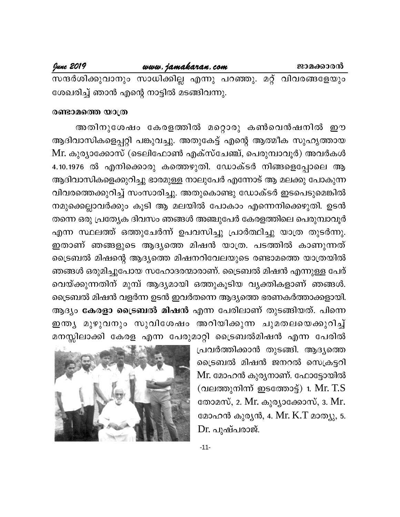### June 2019 www.jamakaran.com ജാമക്കാരൻ സന്ദർശിക്കുവാനും സാധിക്കില്ല എന്നു പറഞ്ഞു. മറ്റ് വിവരങ്ങളേയും

ശേഖരിച്ച് ഞാൻ എന്റെ നാട്ടിൽ മടങ്ങിവന്നു.

# രണ്ടാമത്തെ യാത്ര

അതിനുശേഷം കേരളത്തിൽ മറ്റൊരു കൺവെൻഷനിൽ ഈ ആദിവാസികളെപ്പറ്റി പങ്കുവച്ചു. അതുകേട്ട് എന്റെ ആത്മീക സുഹൃത്തായ Mr. കുര്യാക്കോസ് (ടെലിഫോൺ എക്സ്ചേഞ്ച്, പെരുമ്പാവൂർ) അവർകൾ 4.10.1976 ൽ എനിക്കൊരു കത്തെഴുതി. ഡോക്ടർ നിങ്ങളെപ്പോലെ ആ ആദിവാസികളെക്കുറിച്ചു ഭാരമുള്ള നാലുപേർ എന്നോട് ആ മലക്കു പോകുന്ന വിവരത്തെക്കുറിച്ച് സംസാരിച്ചു. അതുകൊണ്ടു ഡോക്ടർ ഇടപെടുമെങ്കിൽ നമുക്കെല്ലാവർക്കും കൂടി ആ മലയിൽ പോകാം എന്നെനിക്കെഴുതി. ഉടൻ തന്നെ ഒരു പ്രത്യേക ദിവസം ഞങ്ങൾ അഞ്ചുപേർ കേരളത്തിലെ പെരുമ്പാവൂർ എന്ന സ്ഥലത്ത് ഒത്തുചേർന്ന് ഉപവസിച്ചു പ്രാർത്ഥിച്ചു യാത്ര തുടർന്നു. ഇതാണ് ഞങ്ങളുടെ ആദ്യത്തെ മിഷൻ യാത്ര. പടത്തിൽ കാണുന്നത് ട്രൈബൽ മിഷന്റെ ആദ്യത്തെ മിഷനറിവേലയുടെ രണ്ടാമത്തെ യാത്രയിൽ ഞങ്ങൾ ഒരുമിച്ചുപോയ സഹോദരന്മാരാണ്. ട്രൈബൽ മിഷൻ എന്നുള്ള പേര് വെയ്ക്കുന്നതിന് മുമ്പ് ആദ്യമായി ഒത്തുകൂടിയ വ്യക്തികളാണ് ഞങ്ങൾ. ട്രൈബൽ മിഷൻ വളർന്ന ഉടൻ ഇവർതന്നെ ആദ്യത്തെ ഭരണകർത്താക്കളായി. ആദ്യം <mark>കേരളാ ട്രൈബൽ മിഷൻ</mark> എന്ന പേരിലാണ് തുടങ്ങിയത്. പിന്നെ ഇന്ത്യ മുഴുവനും സുവിശേഷം അറിയിക്കുന്ന ചുമതലയെക്കുറിച്ച് മനസ്സിലാക്കി കേരള എന്ന പേരുമാറ്റി ട്രൈബൽമിഷൻ എന്ന പേരിൽ

പ്രവർത്തിക്കാൻ തുടങ്ങി. ആദ്യത്തെ ട്രൈബൽ മിഷൻ ജനറൽ സെക്രട്ടറി Mr. മോഹൻ കുര്യനാണ്. ഫോട്ടോയിൽ (വലത്തുനിന്ന് ഇടത്തോട്ട്) 1. Mr.  $T.S$ തോമസ്, 2. Mr. കുര്യാക്കോസ്, 3. Mr. മോഹൻ കുരൃൻ, 4. Mr.  $K$ . $T$  മാത്യു, 5. Dr. പുഷ്പരാജ്.

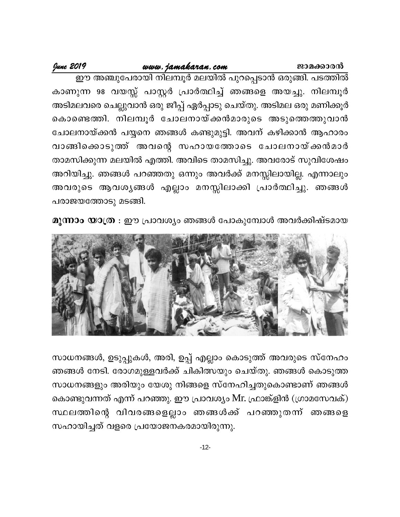June 2019

കാണുന്ന 98 വയസ്സ് പാസ്റ്റർ പ്രാർത്ഥിച്ച് ഞങ്ങളെ അയച്ചു. നിലമ്പൂർ അടിമലവരെ ചെല്ലുവാൻ ഒരു ജീപ്പ് ഏർപ്പാടു ചെയ്തു. അടിമല ഒരു മണിക്കൂർ കൊണ്ടെത്തി. നിലമ്പൂർ ചോലനായ്ക്കൻമാരുടെ അടുത്തെത്തുവാൻ ചോലനായ്ക്കൻ പയ്യനെ ഞങ്ങൾ കണ്ടുമുട്ടി. അവന് കഴിക്കാൻ ആഹാരം വാങ്ങിക്കൊടുത്ത് അവന്റെ സഹായത്തോടെ ചോലനായ്ക്കൻമാർ താമസിക്കുന്ന മലയിൽ എത്തി. അവിടെ താമസിച്ചു. അവരോട് സുവിശേഷം അറിയിച്ചു. ഞങ്ങൾ പറഞ്ഞതു ഒന്നും അവർക്ക് മനസ്സിലായില്ല. എന്നാലും അവരുടെ ആവശ്യങ്ങൾ എല്ലാം മനസ്സിലാക്കി പ്രാർത്ഥിച്ചു. ഞങ്ങൾ പരാജയത്തോടു മടങ്ങി.

മൂന്നാം യാത്ര : ഈ പ്രാവശ്യം ഞങ്ങൾ പോകുമ്പോൾ അവർക്കിഷ്ടമായ



സാധനങ്ങൾ, ഉടുപ്പുകൾ, അരി, ഉപ്പ് എല്ലാം കൊടുത്ത് അവരുടെ സ്നേഹം ഞങ്ങൾ നേടി. രോഗമുള്ളവർക്ക് ചികിത്സയും ചെയ്തു. ഞങ്ങൾ കൊടുത്ത സാധനങ്ങളും അരിയും യേശു നിങ്ങളെ സ്നേഹിച്ചതുകൊണ്ടാണ് ഞങ്ങൾ കൊണ്ടുവന്നത് എന്ന് പറഞ്ഞു. ഈ പ്രാവശ്യം Mr. ഫ്രാങ്ക്ളിൻ (ഗ്രാമസേവക്) സ്ഥലത്തിന്റെ വിവരങ്ങളെല്ലാം ഞങ്ങൾക്ക് പറഞ്ഞുതന്ന് ഞങ്ങളെ സഹായിച്ചത് വളരെ പ്രയോജനകരമായിരുന്നു.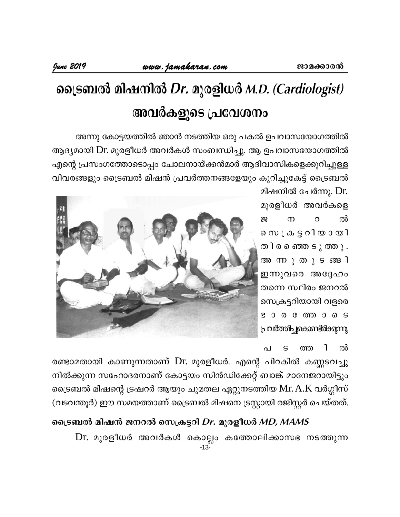# ട്രൈബൽ മിഷനിൽ Dr. മുരളിധർ M.D. (Cardiologist) അവർകളുടെ പ്രവേശനം

അന്നു കോട്ടയത്തിൽ ഞാൻ നടത്തിയ ഒരു പകൽ ഉപവാസയോഗത്തിൽ ആദ്യമായി Dr. മുരളീധർ അവർകൾ സംബന്ധിച്ചു. ആ ഉപവാസയോഗത്തിൽ എന്റെ പ്രസംഗത്തോടൊപ്പം ചോലനായ്ക്കൻമാർ ആദിവാസികളെക്കുറിച്ചുള്ള വിവരങ്ങളും ട്രൈബൽ മിഷൻ പ്രവർത്തനങ്ങളേയും കുറിച്ചുകേട്ട് ട്രൈബൽ

> മിഷനിൽ ചേർന്നു. Dr. മുരളീധർ അവർകളെ  $\Omega$ ൽ ഇ  $\Omega$ തിരഞ്ഞെടുത്തു. അനു തുടങ്ങി ഇന്നുവരെ അദ്ദേഹം തന്നെ സ്ഥിരം ജനറൽ സെക്രട്ടറിയായി വളരെ  $6000000005$ പ്രവർത്തിച്ചുകൊണ്ടിർക്കുന്നു

า ൽ  $\Omega$ ത്ത

രണ്ടാമതായി കാണുന്നതാണ് Dr. മുരളീധർ. എന്റെ പിറകിൽ കണ്ണടവച്ചു നിൽക്കുന്ന സഹോദരനാണ് കോട്ടയം സിൻഡിക്കേറ്റ് ബാങ്ക് മാനേജറായിട്ടും ട്രൈബൽ മിഷന്റെ ട്രഷറർ ആയും ചുമതല ഏറ്റുനടത്തിയ Mr. A.K വർഗ്ഗീസ് (വടവന്തൂർ) ഈ സമയത്താണ് ട്രൈബൽ മിഷനെ ട്രസ്റ്റായി രജിസ്റ്റർ ചെയ്തത്.

ട്രൈബൽ മിഷൻ ജനറൽ സെക്രട്ടറി Dr. മുരളീധർ MD, MAMS Dr. മുരളീധർ അവർകൾ കൊല്ലം കത്തോലിക്കാസഭ നടത്തുന്ന  $-13-$ 

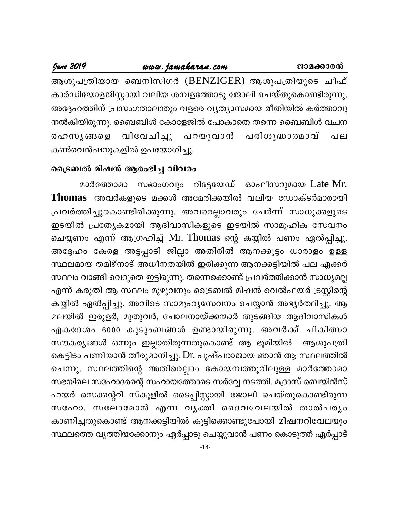# www.jamakaran.com

June 2019

ആശുപത്രിയായ ബെനിസിഗർ (BENZIGER) ആശുപത്രിയുടെ ചീഫ് കാർഡിയോളജിസ്റ്റായി വലിയ ശമ്പളത്തോടു ജോലി ചെയ്തുകൊണ്ടിരുന്നു. അദ്ദേഹത്തിന് പ്രസംഗതാലന്തും വളരെ വ്യത്യാസമായ രീതിയിൽ കർത്താവു നൽകിയിരുന്നു. ബൈബിൾ കോളേജിൽ പോകാതെ തന്നെ ബൈബിൾ വചന പരിശുദ്ധാത്മാവ് രഹസ**ൃങ്ങ**ളെ വിവേചിച്ചു പറയുവാൻ പല കൺവെൻഷനുകളിൽ ഉപയോഗിച്ചു.

# ട്രൈബൽ മിഷൻ ആരംഭിച്ച വിവരം

മാർത്തോമാ സഭാംഗവും റിട്ടേയേഡ് ഓഫീസറുമായ Late Mr. Thomas അവർകളുടെ മക്കൾ അമേരിക്കയിൽ വലിയ ഡോക്ടർമാരായി പ്രവർത്തിച്ചുകൊണ്ടിരിക്കുന്നു. അവരെല്ലാവരും ചേർന്ന് സാധുക്കളുടെ ഇടയിൽ പ്രത്യേകമായി ആദിവാസികളുടെ ഇടയിൽ സാമൂഹിക സേവനം ചെയ്യണം എന്ന് ആഗ്രഹിച്ച് Mr. Thomas ന്റെ കയ്യിൽ പണം ഏൽപ്പിച്ചു. അദ്ദേഹം കേരള അട്ടപ്പാടി ജില്ലാ അതിരിൽ ആനക്കൂട്ടം ധാരാളം ഉള്ള സ്ഥലമായ തമിഴ്നാട് അധീനതയിൽ ഇരിക്കുന്ന ആനക്കട്ടിയിൽ പല ഏക്കർ സ്ഥലം വാങ്ങി വെറുതെ ഇട്ടിരുന്നു. തന്നെക്കൊണ്ട് പ്രവർത്തിക്കാൻ സാധ്യമല്ല എന്ന് കരുതി ആ സ്ഥലം മുഴുവനും ട്രൈബൽ മിഷൻ വെൽഫയർ ട്രസ്റ്റിന്റെ കയ്യിൽ ഏൽപ്പിച്ചു. അവിടെ സാമൂഹ്യസേവനം ചെയ്യാൻ അഭ്യർത്ഥിച്ചു. ആ മലയിൽ ഇരുളർ, മുതുവർ, ചോലനായ്ക്കന്മാർ തുടങ്ങിയ ആദിവാസികൾ ഏകദേശം 6000 കുടുംബങ്ങൾ ഉണ്ടായിരുന്നു. അവർക്ക് ചികിത്സാ സൗകര്യങ്ങൾ ഒന്നും ഇല്ലാതിരുന്നതുകൊണ്ട് ആ ഭൂമിയിൽ ആശുപത്രി കെട്ടിടം പണിയാൻ തീരുമാനിച്ചു. Dr. പുഷ്പരാജായ ഞാൻ ആ സ്ഥലത്തിൽ ചെന്നു. സ്ഥലത്തിന്റെ അതിരെല്ലാം കോയമ്പത്തൂരിലുള്ള മാർത്തോമാ സഭയിലെ സഹോദരന്റെ സഹായത്തോടെ സർവ്വേ നടത്തി. മദ്രാസ് ബെയിൻസ് ഹയർ സെക്കന്ററി സ്കൂളിൽ ടൈപ്പിസ്റ്റായി ജോലി ചെയ്തുകൊണ്ടിരുന്ന സഹോ. സലോമോൻ എന്ന വൃക്തി ദൈവവേലയിൽ താൽപര്യം കാണിച്ചതുകൊണ്ട് ആനക്കട്ടിയിൽ കൂട്ടിക്കൊണ്ടുപോയി മിഷനറിവേലയും സ്ഥലത്തെ വൃത്തിയാക്കാനും ഏർപ്പാടു ചെയ്യുവാൻ പണം കൊടുത്ത് ഏർപ്പാട്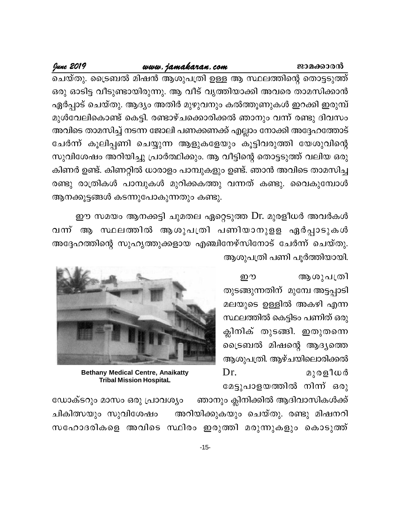# ജാമക്കാരൻ

# www.jamakaran.com

June 2019

ചെയ്തു. ട്രൈബൽ മിഷൻ ആശുപത്രി ഉള്ള ആ സ്ഥലത്തിന്റെ തൊട്ടടുത്ത് ഒരു ഓടിട്ട വീടുണ്ടായിരുന്നു. ആ വീട് വൃത്തിയാക്കി അവരെ താമസിക്കാൻ ഏർപ്പാട് ചെയ്തു. ആദ്യം അതിർ മുഴുവനും കൽത്തൂണുകൾ ഇറക്കി ഇരുമ്പ് മുൾവേലികൊണ്ട് കെട്ടി. രണ്ടാഴ്ചക്കൊരിക്കൽ ഞാനും വന്ന് രണ്ടു ദിവസം അവിടെ താമസിച്ച് നടന്ന ജോലി പണക്കണക്ക് എല്ലാം നോക്കി അദ്ദേഹത്തോട് ചേർന്ന് കൂലിപ്പണി ചെയ്യുന്ന ആളുകളേയും കൂട്ടിവരുത്തി യേശുവിന്റെ സുവിശേഷം അറിയിച്ചു പ്രാർത്ഥിക്കും. ആ വീട്ടിന്റെ തൊട്ടടുത്ത് വലിയ ഒരു കിണർ ഉണ്ട്. കിണറ്റിൽ ധാരാളം പാമ്പുകളും ഉണ്ട്. ഞാൻ അവിടെ താമസിച്ച രണ്ടു രാത്രികൾ പാമ്പുകൾ മുറിക്കകത്തു വന്നത് കണ്ടു. വൈകുമ്പോൾ ആനക്കൂട്ടങ്ങൾ കടന്നുപോകുന്നതും കണ്ടു.

ഈ സമയം ആനക്കട്ടി ചുമതല ഏറ്റെടുത്ത Dr. മുരളീധർ അവർകൾ വന്ന് ആ സ്ഥലത്തിൽ ആശുപത്രി പണിയാനുളള ഏർപ്പാടുകൾ അദ്ദേഹത്തിന്റെ സുഹൃത്തുക്കളായ എഞ്ചിനേഴ്സിനോട് ചേർന്ന് ചെയ്തു. ആശുപത്രി പണി പൂർത്തിയായി.

> ആശുപത്രി ഈ തുടങ്ങുന്നതിന് മുമ്പേ അട്ടപ്പാടി മലയുടെ ഉള്ളിൽ അകഴി എന്ന സ്ഥലത്തിൽ കെട്ടിടം പണിത് ഒരു ക്ലിനിക് തുടങ്ങി. ഇതുതന്നെ ട്രൈബൽ മിഷന്റെ ആദ്യത്തെ ആശുപത്രി. ആഴ്ചയിലൊരിക്കൽ Dr. മുരളീധർ മേട്ടുപാളയത്തിൽ നിന്ന് ഒരു



**Bethany Medical Centre, Anaikatty Tribal Mission HospitaL** 

ഡോക്ടറും മാസം ഒരു പ്രാവശ്യം ്ഞാനും ക്ലിനിക്കിൽ ആദിവാസികൾക്ക് ചികിത്സയും സുവിശേഷം അറിയിക്കുകയും ചെയ്തു. രണ്ടു മിഷനറി സഹോദരികളെ അവിടെ സ്ഥിരം ഇരുത്തി മരുന്നുകളും കൊടുത്ത്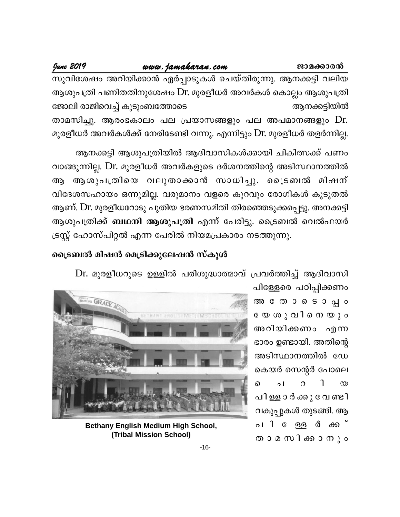# www.jamakaran.com

June 2019

സുവിശേഷം അറിയിക്കാൻ ഏർപ്പാടുകൾ ചെയ്തിരുന്നു. ആനക്കട്ടി വലിയ ആശുപത്രി പണിതതിനുശേഷം Dr. മുരളീധർ അവർകൾ കൊല്ലം ആശുപത്രി ജോലി രാജിവെച്ച് കുടുംബത്തോടെ ആനക്കട്ടിയിൽ താമസിച്ചു. ആരംഭകാലം പല പ്രയാസങ്ങളും പല അപമാനങ്ങളും Dr. മുരളീധർ അവർകൾക്ക് നേരിടേണ്ടി വന്നു. എന്നിട്ടും Dr. മുരളീധർ തളർന്നില്ല.

ആനക്കട്ടി ആശുപത്രിയിൽ ആദിവാസികൾക്കായി ചികിത്സക്ക് പണം വാങ്ങുന്നില്ല. Dr. മുരളീധർ അവർകളുടെ ദർശനത്തിന്റെ അടിസ്ഥാനത്തിൽ ആശുപത്രിയെ വലുതാക്കാൻ സാധിച്ചു. ട്രൈബൽ മിഷന് ആ വിദേശസഹായം ഒന്നുമില്ല. വരുമാനം വളരെ കുറവും രോഗികൾ കുടുതൽ ആണ്. Dr. മുരളീധറോടു പുതിയ ഭരണസമിതി തിരഞ്ഞെടുക്കപ്പെട്ടു. അനക്കട്ടി ആശുപത്രിക്ക് **ബഥനി ആശുപത്രി** എന്ന് പേരിട്ടു. ട്രൈബൽ വെൽഫയർ ട്രസ്റ്റ് ഹോസ്പിറ്റൽ എന്ന പേരിൽ നിയമപ്രകാരം നടത്തുന്നു.

# ട്രൈബൽ മിഷൻ മെട്രിക്കുലേഷൻ സ്കൂൾ

Dr. മുരളീധറുടെ ഉള്ളിൽ പരിശുദ്ധാത്മാവ് പ്രവർത്തിച്ച് ആദിവാസി

പിള്ളേരെ പഠിപ്പിക്കണം അ തോടൊപ്പം യേ ശ**ു വിനെയും** അറിയിക്കണം എന്ന ഭാരം ഉണ്ടായി. അതിന്റെ അടിസ്ഥാനത്തിൽ ഡേ കെയർ സെന്റർ പോലെ ่า ച  $\Omega$  $\infty$ ൭ പിള്ള ാർക്കു വേണ്ടി വകുപ്പുകൾ തുടങ്ങി. ആ പി േള്ള **ർ** ക്ക് താ മ സിക്കാനും



**Bethany English Medium High School,** (Tribal Mission School)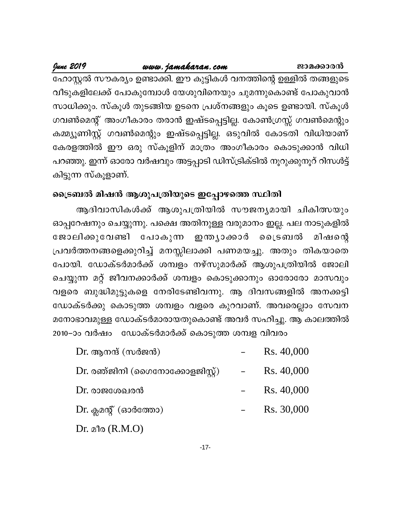ജാമക്കാരൻ

# www.jamakaran.com

June 2019

ഹോസ്റ്റൽ സൗകര്യം ഉണ്ടാക്കി. ഈ കുട്ടികൾ വനത്തിന്റെ ഉള്ളിൽ തങ്ങളുടെ വീടുകളിലേക്ക് പോകുമ്പോൾ യേശുവിനെയും ചുമന്നുകൊണ്ട് പോകുവാൻ സാധിക്കും. സ്കൂൾ തുടങ്ങിയ ഉടനെ പ്രശ്നങ്ങളും കൂടെ ഉണ്ടായി. സ്കൂൾ ഗവൺമെന്റ് അംഗീകാരം തരാൻ ഇഷ്ടപ്പെട്ടില്ല. കോൺഗ്രസ്സ് ഗവൺമെന്റും കമ്മ്യൂണിസ്റ്റ് ഗവൺമെന്റും ഇഷ്ടപ്പെട്ടില്ല. ഒടുവിൽ കോടതി വിധിയാണ് കേരളത്തിൽ ഈ ഒരു സ്കൂളിന് മാത്രം അംഗീകാരം കൊടുക്കാൻ വിധി പറഞ്ഞു. ഇന്ന് ഓരോ വർഷവും അട്ടപ്പാടി ഡിസ്ട്രിക്ടിൽ നൂറുക്കുനൂറ് റിസൾട്ട് കിട്ടുന്ന സ്കൂളാണ്.

# ട്രൈബൽ മിഷൻ ആശുപത്രിയുടെ ഇപ്പോഴത്തെ സ്ഥിതി

ആദിവാസികൾക്ക് ആശുപത്രിയിൽ സൗജന്യമായി ചികിത്സയും ഓപ്പറേഷനും ചെയ്യുന്നു. പക്ഷെ അതിനുള്ള വരുമാനം ഇല്ല. പല നാടുകളിൽ ഇന്ത്യാക്കാർ ൈടബൽ മിഷന്റെ ജോലിക്കുവേണ്ടി പോകുന്ന പ്രവർത്തനങ്ങളെക്കുറിച്ച് മനസ്സിലാക്കി പണമയച്ചു. അതും തികയാതെ പോയി. ഡോക്ടർമാർക്ക് ശമ്പളം നഴ്സുമാർക്ക് ആശുപത്രിയിൽ ജോലി ചെയ്യുന്ന മറ്റ് ജീവനക്കാർക്ക് ശമ്പളം കൊടുക്കാനും ഓരോരോ മാസവും വളരെ ബുദ്ധിമുട്ടുകളെ നേരിടേണ്ടിവന്നു. ആ ദിവസങ്ങളിൽ അനക്കട്ടി ഡോക്ടർക്കു കൊടുത്ത ശമ്പളം വളരെ കുറവാണ്. അവരെല്ലാം സേവന മനോഭാവമുള്ള ഡോക്ടർമാരായതുകൊണ്ട് അവർ സഹിച്ചു. ആ കാലത്തിൽ 2010−ാം വർഷം ഡോക്ടർമാർക്ക് കൊടുത്ത ശമ്പള വിവരം

| $Dr.$ ആനന്ദ് (സർജൻ)               | Rs. 40,000 |
|-----------------------------------|------------|
| $Dr.$ രഞ്ജിനി (ഗൈനോക്കോളജിസ്റ്റ്) | Rs. 40,000 |
| $Dr.$ രാജശേഖരൻ                    | Rs. 40,000 |
| $Dr.$ ക്ലമന്റ് (ഓർത്തോ)           | Rs. 30,000 |
| $Dr.$ $\triangle$ 10 $(R.M.O)$    |            |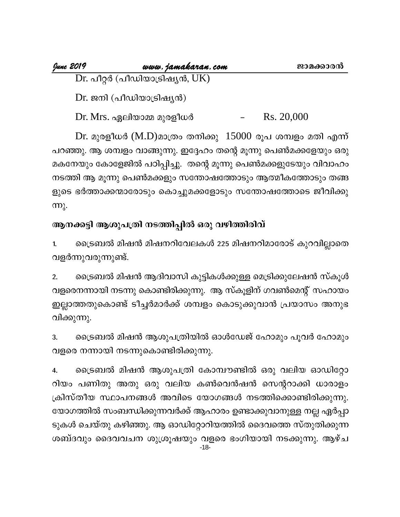| <u> June 2019</u> | www.jamakaran.com                  | ജാമക്കാരൻ |
|-------------------|------------------------------------|-----------|
|                   | Dr. പീറ്റർ (പീഡിയാട്രിഷ്യൻ, $UK$ ) |           |
|                   | Dr. ജനി (പീഡിയാട്രിഷ്യൻ)           |           |

Rs. 20,000 Dr. Mrs. ഏലിയാമ്മ മുരളീധർ

Dr. മുരളീധർ (M.D)മാത്രം തനിക്കു 15000 രൂപ ശമ്പളം മതി എന്ന് പറഞ്ഞു. ആ ശമ്പളം വാങ്ങുന്നു. ഇദ്ദേഹം തന്റെ മൂന്നു പെൺമക്കളേയും ഒരു മകനേയും കോളേജിൽ പഠിപ്പിച്ചു. തന്റെ മൂന്നു പെൺമക്കളുടേയും വിവാഹം നടത്തി ആ മൂന്നു പെൺമക്കളും സന്തോഷത്തോടും ആത്മീകത്തോടും തങ്ങ ളുടെ ഭർത്താക്കന്മാരോടും കൊച്ചുമക്കളോടും സന്തോഷത്തോടെ ജീവിക്കു <u>ന്നു.</u>

# ആനക്കട്ടി ആശുപത്രി നടത്തിപ്പിൽ ഒരു വഴിത്തിരിവ്

ട്രൈബൽ മിഷൻ മിഷനറിവേലകൾ 225 മിഷനറിമാരോട് കുറവില്ലാതെ  $1.$ വളർന്നുവരുന്നുണ്ട്.

ട്രൈബൽ മിഷൻ ആദിവാസി കുട്ടികൾക്കുള്ള മെട്രിക്കുലേഷൻ സ്കൂൾ  $2.$ വളരെനന്നായി നടന്നു കൊണ്ടിരിക്കുന്നു. ആ സ്കൂളിന് ഗവൺമെന്റ് സഹായം ഇല്ലാത്തതുകൊണ്ട് ടീച്ചർമാർക്ക് ശമ്പളം കൊടുക്കുവാൻ പ്രയാസം അനുഭ വിക്കുന്നു.

ട്രൈബൽ മിഷൻ ആശുപത്രിയിൽ ഓൾഡേജ് ഹോമും പൂവർ ഹോമും 3. വളരെ നന്നായി നടന്നുകൊണ്ടിരിക്കുന്നു.

ട്രൈബൽ മിഷൻ ആശുപത്രി കോമ്പൗണ്ടിൽ ഒരു വലിയ ഓഡിറ്റോ 4. റിയം പണിതു അതു ഒരു വലിയ കൺവെൻഷൻ സെന്ററാക്കി ധാരാളം ക്രിസ്തീയ സ്ഥാപനങ്ങൾ അവിടെ യോഗങ്ങൾ നടത്തിക്കൊണ്ടിരിക്കുന്നു. യോഗത്തിൽ സംബന്ധിക്കുന്നവർക്ക് ആഹാരം ഉണ്ടാക്കുവാനുള്ള നല്ല ഏർപ്പാ ടുകൾ ചെയ്തു കഴിഞ്ഞു. ആ ഓഡിറ്റോറിയത്തിൽ ദൈവത്തെ സ്തുതിക്കുന്ന ശബ്ദവും ദൈവവചന ശുശ്രൂഷയും വളരെ ഭംഗിയായി നടക്കുന്നു. ആഴ്ച  $-18-$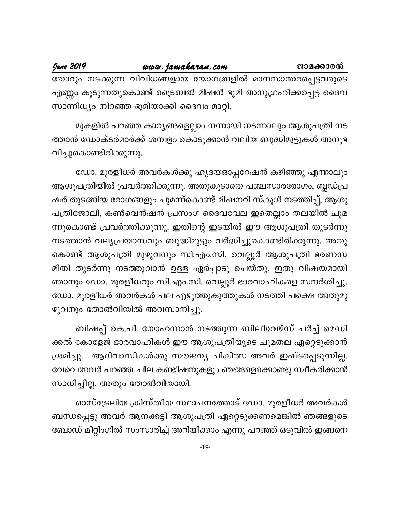June 2019

തോറും നടക്കുന്ന വിവിധങ്ങളായ യോഗങ്ങളിൽ മാനസാന്തരപ്പെട്ടവരുടെ എണ്ണം കൂടുന്നതുകൊണ്ട് ട്രൈബൽ മിഷൻ ഭൂമി അനുഗ്രഹിക്കപ്പെട്ട ദൈവ സാന്നിധ്യം നിറഞ്ഞ ഭൂമിയാക്കി ദൈവം മാറ്റി.

മുകളിൽ പറഞ്ഞ കാര്യങ്ങളെല്ലാം നന്നായി നടന്നാലും ആശുപത്രി നട ത്താൻ ഡോക്ടർമാർക്ക് ശമ്പളം കൊടുക്കാൻ വലിയ ബുദ്ധിമുട്ടുകൾ അനുഭ വിച്ചുകൊണ്ടിരിക്കുന്നു.

ഡോ. മുരളീധർ അവർകൾക്കു ഹൃദയഓപ്പറേഷൻ കഴിഞ്ഞു എന്നാലും ആശുപത്രിയിൽ പ്രവർത്തിക്കുന്നു. അതുകൂടാതെ പഞ്ചസാരരോഗം, ബ്ലഡ്പ്ര ഷർ തുടങ്ങിയ രോഗങ്ങളും ചുമന്ന്കൊണ്ട് മിഷനറി സ്കൂൾ നടത്തിപ്പ്, ആശു പത്രിജോലി, കൺവെൻഷൻ പ്രസംഗ ദൈവവേല ഇതെല്ലാം തലയിൽ ചുമ ന്നുകൊണ്ട് പ്രവർത്തിക്കുന്നു. ഇതിന്റെ ഇടയിൽ ഈ ആശുപത്രി തുടർന്നു നടത്താൻ വല്യപ്രയാസവും ബുദ്ധിമുട്ടും വർദ്ധിച്ചുകൊണ്ടിരിക്കുന്നു. അതു കൊണ്ട് ആശുപത്രി മുഴുവനും സി.എം.സി. വെല്ലൂർ ആശുപത്രി ഭരണസ മിതി തുടർന്നു നടത്തുവാൻ ഉള്ള ഏർപ്പാടു ചെയ്തു. ഇതു വിഷയമായി ഞാനും ഡോ. മുരളീധറും സി.എം.സി. വെല്ലൂർ ഭാരവാഹികളെ സന്ദർശിച്ചു. ഡോ. മുരളീധർ അവർകൾ പല എഴുത്തുകുത്തുകൾ നടത്തി പക്ഷെ അതുമു ഴുവനും തോൽവിയിൽ അവസാനിച്ചു.

ബിഷപ്പ് കെ.പി. യോഹന്നാൻ നടത്തുന്ന ബിലീവേഴ്സ് ചർച്ച് മെഡി ക്കൽ കോളേജ് ഭാരവാഹികൾ ഈ ആശുപത്രിയുടെ ചുമതല ഏറ്റെടുക്കാൻ ശ്രമിച്ചു. ആദിവാസികൾക്കു സൗജന്യ ചികിത്സ അവർ ഇഷ്ടപ്പെടുന്നില്ല. വേറെ അവർ പറഞ്ഞ ചില കണ്ടീഷനുകളും ഞങ്ങളെക്കൊണ്ടു സ്വീകരിക്കാൻ സാധിച്ചില്ല. അതും തോൽവിയായി.

ഓസ്ട്രേലിയ ക്രിസ്തീയ സ്ഥാപനത്തോട് ഡോ. മുരളീധർ അവർകൾ ബന്ധപ്പെട്ടു അവർ ആനക്കട്ടി ആശുപത്രി ഏറ്റെടുക്കണമെങ്കിൽ ഞങ്ങളുടെ ബോഡ് മീറ്റിംഗിൽ സംസാരിച്ച് അറിയിക്കാം എന്നു പറഞ്ഞ് ഒടുവിൽ ഇങ്ങനെ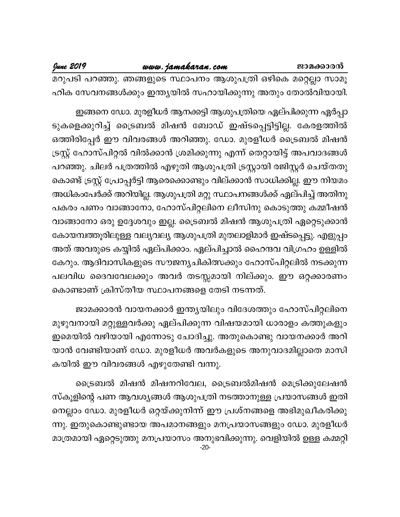മറുപടി പറഞ്ഞു. ഞങ്ങളുടെ സ്ഥാപനം ആശുപത്രി ഒഴികെ മറ്റെല്ലാ സാമൂ ഹിക സേവനങ്ങൾക്കും ഇന്ത്യയിൽ സഹായിക്കുന്നു അതും തോൽവിയായി.

ഇങ്ങനെ ഡോ. മുരളീധർ ആനക്കട്ടി ആശുപത്രിയെ ഏല്പിക്കുന്ന ഏർപ്പാ ടുകളെക്കുറിച്ച് ട്രൈബൽ മിഷൻ ബോഡ് ഇഷ്ടപ്പെട്ടിട്ടില്ല. കേരളത്തിൽ ഒത്തിരിപ്പേർ ഈ വിവരങ്ങൾ അറിഞ്ഞു. ഡോ. മുരളീധർ ട്രൈബൽ മിഷൻ ട്രസ്റ്റ് ഹോസ്പിറ്റൽ വിൽക്കാൻ ശ്രമിക്കുന്നു എന്ന് തെറ്റായിട്ട് അപവാദങ്ങൾ പറഞ്ഞു. ചിലർ പത്രത്തിൽ എഴുതി ആശുപത്രി ട്രസ്റ്റായി രജിസ്റ്റർ ചെയ്തതു കൊണ്ട് ട്രസ്റ്റ് പ്രോപ്പർട്ടി ആരെക്കൊണ്ടും വില്ക്കാൻ സാധിക്കില്ല. ഈ നിയമം അധികംപേർക്ക് അറിയില്ല. ആശുപത്രി മറ്റു സ്ഥാപനങ്ങൾക്ക് ഏല്പിച്ച് അതിനു പകരം പണം വാങ്ങാനോ, ഹോസ്പിറ്റലിനെ ലീസിനു കൊടുത്തു കമ്മീഷൻ വാങ്ങാനോ ഒരു ഉദ്ദേശവും ഇല്ല. ട്രൈബൽ മിഷൻ ആശുപത്രി ഏറ്റെടുക്കാൻ കോയമ്പത്തൂരിലുള്ള വല്യവല്യ ആശുപത്രി മുതലാളിമാർ ഇഷ്ടപ്പെട്ടു. എളുപ്പം അത് അവരുടെ കയ്യിൽ ഏല്പിക്കാം. ഏല്പിച്ചാൽ ഹൈന്ദവ വിഗ്രഹം ഉള്ളിൽ കേറും. ആദിവാസികളുടെ സൗജന്യചികിത്സക്കും ഹോസ്പിറ്റലിൽ നടക്കുന്ന പലവിധ ദൈവവേലക്കും അവർ തടസ്സമായി നില്ക്കും. ഈ ഒറ്റക്കാരണം കൊണ്ടാണ് ക്രിസ്തീയ സ്ഥാപനങ്ങളെ തേടി നടന്നത്.

ജാമക്കാരൻ വായനക്കാർ ഇന്ത്യയിലും വിദേശത്തും ഹോസ്പിറ്റലിനെ മുഴുവനായി മറ്റുള്ളവർക്കു ഏല്പിക്കുന്ന വിഷയമായി ധാരാളം കത്തുകളും ഇമെയിൽ വഴിയായി എന്നോടു ചോദിച്ചു. അതുകൊണ്ടു വായനക്കാർ അറി യാൻ വേണ്ടിയാണ് ഡോ. മുരളീധർ അവർകളുടെ അനുവാദമില്ലാതെ മാസി കയിൽ ഈ വിവരങ്ങൾ എഴുതേണ്ടി വന്നു.

ട്രൈബൽ മിഷൻ മിഷനറിവേല, ട്രൈബൽമിഷൻ മെട്രിക്കുലേഷൻ സ്കൂളിന്റെ പണ ആവശ്യങ്ങൾ ആശുപത്രി നടത്താനുള്ള പ്രയാസങ്ങൾ ഇതി നെല്ലാം ഡോ. മുരളീധർ ഒറ്റയ്ക്കുനിന്ന് ഈ പ്രശ്നങ്ങളെ അഭിമുഖീകരിക്കു ന്നു. ഇതുകൊണ്ടുണ്ടായ അപമാനങ്ങളും മനപ്രയാസങ്ങളും ഡോ. മുരളീധർ മാത്രമായി ഏറ്റെടുത്തു മനപ്രയാസം അനുഭവിക്കുന്നു. വെളിയിൽ ഉള്ള കമ്മറ്റി  $-20-$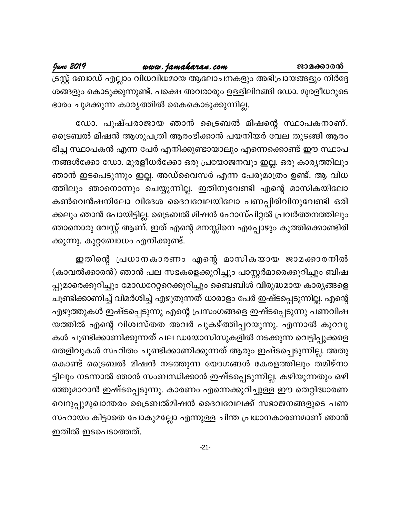# www.jamakaran.com

June 2019

ട്രസ്റ്റ് ബോഡ് എല്ലാം വിധവിധമായ ആലോചനകളും അഭിപ്രായങ്ങളും നിർദ്ദേ ശങ്ങളും കൊടുക്കുന്നുണ്ട്. പക്ഷെ അവരാരും ഉള്ളിലിറങ്ങി ഡോ. മുരളീധറുടെ ഭാരം ചുമക്കുന്ന കാര്യത്തിൽ കൈകൊടുക്കുന്നില്ല.

ഡോ. പുഷ്പരാജായ ഞാൻ ട്രൈബൽ മിഷന്റെ സ്ഥാപകനാണ്. ട്രൈബൽ മിഷൻ ആശുപത്രി ആരംഭിക്കാൻ പയനിയർ വേല തുടങ്ങി ആരം ഭിച്ച സ്ഥാപകൻ എന്ന പേർ എനിക്കുണ്ടായാലും എന്നെക്കൊണ്ട് ഈ സ്ഥാപ നങ്ങൾക്കോ ഡോ. മുരളീധർക്കോ ഒരു പ്രയോജനവും ഇല്ല. ഒരു കാര്യത്തിലും ഞാൻ ഇടപെടുന്നും ഇല്ല. അഡ്വൈസർ എന്ന പേരുമാത്രം ഉണ്ട്. ആ വിധ ത്തിലും ഞാനൊന്നും ചെയ്യുന്നില്ല. ഇതിനുവേണ്ടി എന്റെ മാസികയിലോ കൺവെൻഷനിലോ വിദേശ ദൈവവേലയിലോ പണപ്പിരിവിനുവേണ്ടി ഒരി ക്കലും ഞാൻ പോയിട്ടില്ല. ട്രൈബൽ മിഷൻ ഹോസ്പിറ്റൽ പ്രവർത്തനത്തിലും ഞാനൊരു വേസ്റ്റ് ആണ്. ഇത് എന്റെ മനസ്സിനെ എപ്പോഴും കുത്തിക്കൊണ്ടിരി ക്കുന്നു. കുറ്റബോധം എനിക്കുണ്ട്.

ഇതിന്റെ പ്രധാനകാരണം എന്റെ മാസികയായ ജാമക്കാരനിൽ (കാവൽക്കാരൻ) ഞാൻ പല സഭകളെക്കുറിച്ചും പാസ്റ്റർമാരെക്കുറിച്ചും ബിഷ പ്പുമാരെക്കുറിച്ചും മോഡറേറ്ററെക്കുറിച്ചും ബൈബിൾ വിരുദ്ധമായ കാര്യങ്ങളെ ചൂണ്ടിക്കാണിച്ച് വിമർശിച്ച് എഴുതുന്നത് ധാരാളം പേർ ഇഷ്ടപ്പെടുന്നില്ല. എന്റെ എഴുത്തുകൾ ഇഷ്ടപ്പെടുന്നു എന്റെ പ്രസംഗങ്ങളെ ഇഷ്ടപ്പെടുന്നു പണവിഷ യത്തിൽ എന്റെ വിശ്വസ്തത അവർ പുകഴ്ത്തിപ്പറയുന്നു. എന്നാൽ കുറവു കൾ ചൂണ്ടിക്കാണിക്കുന്നത് പല ഡയോസിസുകളിൽ നടക്കുന്ന വെട്ടിപ്പുക്കളെ തെളിവുകൾ സഹിതം ചൂണ്ടിക്കാണിക്കുന്നത് ആരും ഇഷ്ടപ്പെടുന്നില്ല. അതു കൊണ്ട് ട്രൈബൽ മിഷൻ നടത്തുന്ന യോഗങ്ങൾ കേരളത്തിലും തമിഴ്നാ ട്ടിലും നടന്നാൽ ഞാൻ സംബന്ധിക്കാൻ ഇഷ്ടപ്പെടുന്നില്ല. കഴിയുന്നതും ഒഴി ഞ്ഞുമാറാൻ ഇഷ്ടപ്പെടുന്നു. കാരണം എന്നെക്കുറിച്ചുള്ള ഈ തെറ്റിദ്ധാരണ വെറുപ്പുമുഖാന്തരം ട്രൈബൽമിഷൻ ദൈവവേലക്ക് സഭാജനങ്ങളുടെ പണ സഹായം കിട്ടാതെ പോകുമല്ലോ എന്നുള്ള ചിന്ത പ്രധാനകാരണമാണ് ഞാൻ ഇതിൽ ഇടപെടാത്തത്.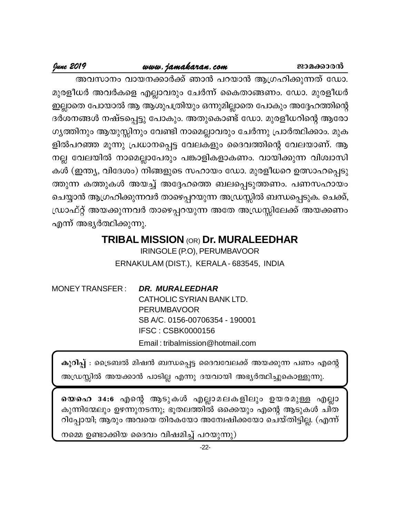# www.jamakaran.com

ജാമക്കാരൻ

# <u> June 2019</u>

അവസാനം വായനക്കാർക്ക് ഞാൻ പറയാൻ ആഗ്രഹിക്കുന്നത് ഡോ. മുരളീധർ അവർകളെ എല്ലാവരും ചേർന്ന് കൈതാങ്ങണം. ഡോ. മുരളീധർ ഇല്ലാതെ പോയാൽ ആ ആശുപത്രിയും ഒന്നുമില്ലാതെ പോകും അദ്ദേഹത്തിന്റെ ദർശനങ്ങൾ നഷ്ടപ്പെട്ടു പോകും. അതുകൊണ്ട് ഡോ. മുരളീധറിന്റെ ആരോ ഗ്യത്തിനും ആയുസ്സിനും വേണ്ടി നാമെല്ലാവരും ചേർന്നു പ്രാർത്ഥിക്കാം. മുക ളിൽപറഞ്ഞ മൂന്നു പ്രധാനപ്പെട്ട വേലകളും ദൈവത്തിന്റെ വേലയാണ്. ആ നല്ല വേലയിൽ നാമെല്ലാപേരും പങ്കാളികളാകണം. വായിക്കുന്ന വിശ്വാസി കൾ (ഇന്ത്യ, വിദേശം) നിങ്ങളുടെ സഹായം ഡോ. മുരളീധറെ ഉത്സാഹപ്പെടു ത്തുന്ന കത്തുകൾ അയച്ച് അദ്ദേഹത്തെ ബലപ്പെടുത്തണം. പണസഹായം ചെയ്യാൻ ആഗ്രഹിക്കുന്നവർ താഴെപ്പറയുന്ന അഡ്രസ്സിൽ ബന്ധപ്പെടുക. ചെക്ക്, ഡ്രാഫ്റ്റ് അയക്കുന്നവർ താഴെപ്പറയുന്ന അതേ അഡ്രസ്സിലേക്ക് അയക്കണം എന്ന് അഭ്യർത്ഥിക്കുന്നു.

> **TRIBAL MISSION (OR) Dr. MURALEEDHAR** IRINGOLE (P.O), PERUMBAVOOR ERNAKULAM (DIST.), KERALA - 683545, INDIA

**MONEY TRANSFER:** DR. MURALEEDHAR CATHOLIC SYRIAN BANK LTD. **PERUMBAVOOR** SB A/C. 0156-00706354 - 190001 **IFSC: CSBK0000156** Email: tribalmission@hotmail.com

കുറിപ്പ് : ട്രൈബൽ മിഷൻ ബന്ധപ്പെട്ട ദൈവവേലക്ക് അയക്കുന്ന പണം എന്റെ അഡ്രസ്സിൽ അയക്കാൻ പാടില്ല എന്നു ദയവായി അഭ്യർത്ഥിച്ചുകൊള്ളുന്നു.

യെഹെ 34:6 എന്റെ ആടുകൾ എല്ലാമലകളിലും ഉയരമുള്ള എല്ലാ കുന്നിന്മേലും ഉഴന്നുനടന്നു; ഭൂതലത്തിൽ ഒക്കെയും എന്റെ ആടുകൾ ചിത റിപ്പോയി; ആരും അവയെ തിരകയോ അന്വേഷിക്കയോ ചെയ്തിട്ടില്ല. (എന്ന്

നമ്മെ ഉണ്ടാക്കിയ ദൈവം വിഷമിച്ച് പറയുന്നു)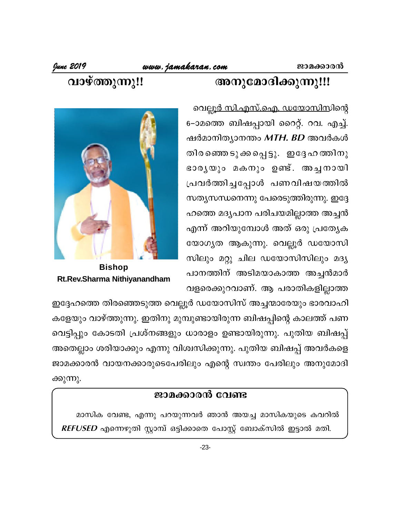# അനുമോദിക്കുന്നു!!!

# വാഴ്ത്തുന്നു!!

വെല്ലൂ<u>ർ സി.എസ്.ഐ. ഡയോസിസി</u>ന്റെ 6–ാമത്തെ ബിഷപ്പായി റൈറ്റ്. റവ. എച്ച്. ഷർമാനിത്യാനന്തം MTH. BD അവർകൾ തിരഞ്ഞെടുക്കപ്പെട്ടു. ഇദ്ദേഹത്തിനു ഭാരൃയും മകനും ഉണ്ട്. അച്ചനായി പ്രവർത്തിച്ചപ്പോൾ പണവിഷയത്തിൽ സത്യസന്ധനെന്നു പേരെടുത്തിരുന്നു. ഇദ്ദേ ഹത്തെ മദൃപാന പരിചയമില്ലാത്ത അച്ചൻ എന്ന് അറിയുമ്പോൾ അത് ഒരു പ്രത്യേക യോഗ്യത ആകുന്നു. വെല്ലൂർ ഡയോസി സിലും മറ്റു ചില ഡയോസിസിലും മദ്യ പാനത്തിന് അടിമയാകാത്ത അച്ചൻമാർ വളരെക്കുറവാണ്. ആ പരാതികളില്ലാത്ത



**Bishop** Rt.Rev.Sharma Nithiyanandham

ഇദ്ദേഹത്തെ തിരഞ്ഞെടുത്ത വെല്ലൂർ ഡയോസിസ് അച്ചന്മാരേയും ഭാരവാഹി കളേയും വാഴ്ത്തുന്നു. ഇതിനു മുമ്പുണ്ടായിരുന്ന ബിഷപ്പിന്റെ കാലത്ത് പണ വെട്ടിപ്പും കോടതി പ്രശ്നങ്ങളും ധാരാളം ഉണ്ടായിരുന്നു. പുതിയ ബിഷപ്പ് അതെല്ലാം ശരിയാക്കും എന്നു വിശ്വസിക്കുന്നു. പുതിയ ബിഷപ്പ് അവർകളെ ജാമക്കാരൻ വായനക്കാരുടെപേരിലും എന്റെ സ്വന്തം പേരിലും അനുമോദി ക്കുന്നു.

# ജാമക്കാരൻ വേണ്ട

മാസിക വേണ്ട, എന്നു പറയുന്നവർ ഞാൻ അയച്ച മാസികയുടെ കവറിൽ REFUSED എന്നെഴുതി സ്റ്റാമ്പ് ഒട്ടിക്കാതെ പോസ്റ്റ് ബോക്സിൽ ഇട്ടാൽ മതി.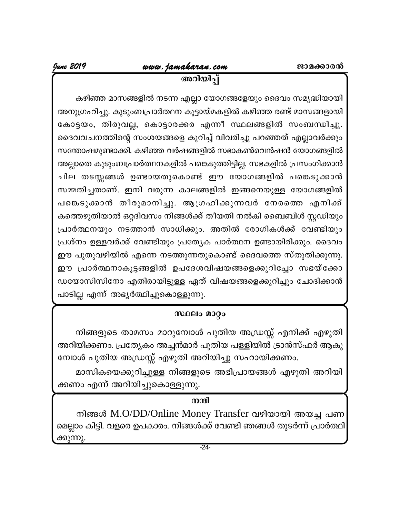അറിയിപ്പ്

കഴിഞ്ഞ മാസങ്ങളിൽ നടന്ന എല്ലാ യോഗങ്ങളേയും ദൈവം സമൃദ്ധിയായി അനുഗ്രഹിച്ചു. കുടുംബപ്രാർത്ഥന കൂട്ടായ്മകളിൽ കഴിഞ്ഞ രണ്ട് മാസങ്ങളായി കോട്ടയം, തിരുവല്ല, കൊട്ടാരക്കര എന്നീ സ്ഥലങ്ങളിൽ സംബന്ധിച്ചു. ദൈവവചനത്തിന്റെ സംശയങ്ങളെ കുറിച്ച് വിവരിച്ചു പറഞ്ഞത് എല്ലാവർക്കും സന്തോഷമുണ്ടാക്കി. കഴിഞ്ഞ വർഷങ്ങളിൽ സഭാകൺവെൻഷൻ യോഗങ്ങളിൽ അല്ലാതെ കുടുംബപ്രാർത്ഥനകളിൽ പങ്കെടുത്തിട്ടില്ല. സഭകളിൽ പ്രസംഗിക്കാൻ ചില തടസ്സങ്ങൾ ഉണ്ടായതുകൊണ്ട് ഈ യോഗങ്ങളിൽ പങ്കെടുക്കാൻ സമ്മതിച്ചതാണ്. ഇനി വരുന്ന കാലങ്ങളിൽ ഇങ്ങനെയുള്ള യോഗങ്ങളിൽ പങ്കെടുക്കാൻ തീരുമാനിച്ചു. ആഗ്രഹിക്കുന്നവർ നേരത്തെ എനിക്ക് കത്തെഴുതിയാൽ ഒറ്റദിവസം നിങ്ങൾക്ക് തീയതി നൽകി ബൈബിൾ സ്റ്റഡിയും പ്രാർത്ഥനയും നടത്താൻ സാധിക്കും. അതിൽ രോഗികൾക്ക് വേണ്ടിയും പ്രശ്നം ഉള്ളവർക്ക് വേണ്ടിയും പ്രത്യേക പാർത്ഥന ഉണ്ടായിരിക്കും. ദൈവം ഈ പുതുവഴിയിൽ എന്നെ നടത്തുന്നതുകൊണ്ട് ദൈവത്തെ സ്തുതിക്കുന്നു. ഈ പ്രാർത്ഥനാകൂട്ടങ്ങളിൽ ഉപദേശവിഷയങ്ങളെക്കുറിച്ചോ സഭയ്ക്കോ ഡയോസിസിനോ എതിരായിട്ടുള്ള ഏത് വിഷയങ്ങളെക്കുറിച്ചും ചോദിക്കാൻ പാടില്ല എന്ന് അഭ്യർത്ഥിച്ചുകൊള്ളുന്നു.

# സ്ഥലം മാറ്റം

നിങ്ങളുടെ താമസം മാറുമ്പോൾ പുതിയ അഡ്രസ്സ് എനിക്ക് എഴുതി അറിയിക്കണം. പ്രത്യേകം അച്ചൻമാർ പുതിയ പള്ളിയിൽ ട്രാൻസ്ഫർ ആകു മ്പോൾ പുതിയ അഡ്രസ്സ് എഴുതി അറിയിച്ചു സഹായിക്കണം.

മാസികയെക്കുറിച്ചുള്ള നിങ്ങളുടെ അഭിപ്രായങ്ങൾ എഴുതി അറിയി ക്കണം എന്ന് അറിയിച്ചുകൊള്ളുന്നു.

# നന്ദി

നിങ്ങൾ M.O/DD/Online Money Transfer വഴിയായി അയച്ച പണ മെല്ലാം കിട്ടി. വളരെ ഉപകാരം. നിങ്ങൾക്ക് വേണ്ടി ഞങ്ങൾ തുടർന്ന് പ്രാർത്ഥി ക്കുന്നു.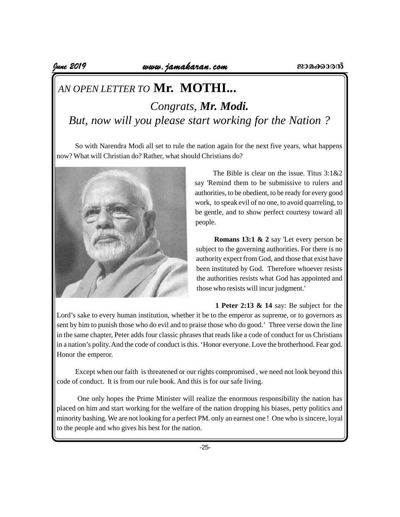# *AN OPEN LETTER TO* **Mr. MOTHI...** *Congrats, Mr. Modi. But, now will you please start working for the Nation ?*

So with Narendra Modi all set to rule the nation again for the next five years, what happens now? What will Christian do? Rather, what should Christians do?



The Bible is clear on the issue. Titus 3:1&2 say 'Remind them to be submissive to rulers and authorities, to be obedient, to be ready for every good work, to speak evil of no one, to avoid quarreling, to be gentle, and to show perfect courtesy toward all people.

**Romans 13:1 & 2** say 'Let every person be subject to the governing authorities. For there is no authority expect from God, and those that exist have been instituted by God. Therefore whoever resists the authorities resists what God has appointed and those who resists will incur judgment.'

**1 Peter 2:13 & 14** say: Be subject for the Lord's sake to every human institution, whether it be to the emperor as supreme, or to governors as sent by him to punish those who do evil and to praise those who do good.' Three verse down the line in the same chapter, Peter adds four classic phrases that reads like a code of conduct for us Christians in a nation's polity. And the code of conduct is this. 'Honor everyone. Love the brotherhood. Fear god. Honor the emperor.

Except when our faith is threatened or our rights compromised , we need not look beyond this code of conduct. It is from our rule book. And this is for our safe living.

 One only hopes the Prime Minister will realize the enormous responsibility the nation has placed on him and start working for the welfare of the nation dropping his biases, petty politics and minority bashing. We are not looking for a perfect PM. only an earnest one ! One who is sincere, loyal to the people and who gives his best for the nation.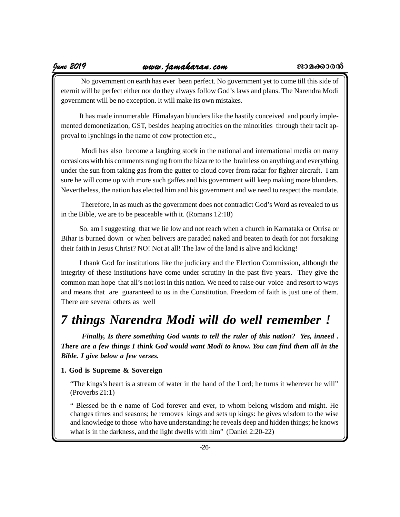No government on earth has ever been perfect. No government yet to come till this side of eternit will be perfect either nor do they always follow God's laws and plans. The Narendra Modi government will be no exception. It will make its own mistakes.

It has made innumerable Himalayan blunders like the hastily conceived and poorly implemented demonetization, GST, besides heaping atrocities on the minorities through their tacit approval to lynchings in the name of cow protection etc.,

 Modi has also become a laughing stock in the national and international media on many occasions with his comments ranging from the bizarre to the brainless on anything and everything under the sun from taking gas from the gutter to cloud cover from radar for fighter aircraft. I am sure he will come up with more such gaffes and his government will keep making more blunders. Nevertheless, the nation has elected him and his government and we need to respect the mandate.

 Therefore, in as much as the government does not contradict God's Word as revealed to us in the Bible, we are to be peaceable with it. (Romans 12:18)

So. am I suggesting that we lie low and not reach when a church in Karnataka or Orrisa or Bihar is burned down or when belivers are paraded naked and beaten to death for not forsaking their faith in Jesus Christ? NO! Not at all! The law of the land is alive and kicking!

I thank God for institutions like the judiciary and the Election Commission, although the integrity of these institutions have come under scrutiny in the past five years. They give the common man hope that all's not lost in this nation. We need to raise our voice and resort to ways and means that are guaranteed to us in the Constitution. Freedom of faith is just one of them. There are several others as well

# *7 things Narendra Modi will do well remember !*

*Finally, Is there something God wants to tell the ruler of this nation? Yes, inneed . There are a few things I think God would want Modi to know. You can find them all in the Bible. I give below a few verses.*

### **1. God is Supreme & Sovereign**

"The kings's heart is a stream of water in the hand of the Lord; he turns it wherever he will" (Proverbs 21:1)

" Blessed be th e name of God forever and ever, to whom belong wisdom and might. He changes times and seasons; he removes kings and sets up kings: he gives wisdom to the wise and knowledge to those who have understanding; he reveals deep and hidden things; he knows what is in the darkness, and the light dwells with him" (Daniel 2:20-22)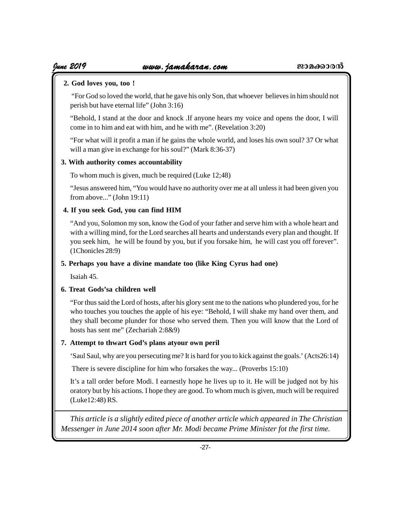# **2. God loves you, too !**

 "For God so loved the world, that he gave his only Son, that whoever believes in him should not perish but have eternal life" (John 3:16)

"Behold, I stand at the door and knock .If anyone hears my voice and opens the door, I will come in to him and eat with him, and he with me". (Revelation 3:20)

"For what will it profit a man if he gains the whole world, and loses his own soul? 37 Or what will a man give in exchange for his soul?" (Mark 8:36-37)

# **3. With authority comes accountability**

To whom much is given, much be required (Luke 12;48)

"Jesus answered him, "You would have no authority over me at all unless it had been given you from above..." (John 19:11)

# **4. If you seek God, you can find HIM**

"And you, Solomon my son, know the God of your father and serve him with a whole heart and with a willing mind, for the Lord searches all hearts and understands every plan and thought. If you seek him, he will be found by you, but if you forsake him, he will cast you off forever". (1Chonicles 28:9)

# **5. Perhaps you have a divine mandate too (like King Cyrus had one)**

Isaiah 45.

# **6. Treat Gods'sa children well**

"For thus said the Lord of hosts, after his glory sent me to the nations who plundered you, for he who touches you touches the apple of his eye: "Behold, I will shake my hand over them, and they shall become plunder for those who served them. Then you will know that the Lord of hosts has sent me" (Zechariah 2:8&9)

# **7. Attempt to thwart God's plans atyour own peril**

'Saul Saul, why are you persecuting me? It is hard for you to kick against the goals.' (Acts26:14)

There is severe discipline for him who forsakes the way... (Proverbs 15:10)

It's a tall order before Modi. I earnestly hope he lives up to it. He will be judged not by his oratory but by his actions. I hope they are good. To whom much is given, much will be required (Luke12:48) RS.

*This article is a slightly edited piece of another article which appeared in The Christian Messenger in June 2014 soon after Mr. Modi became Prime Minister fot the first time.*